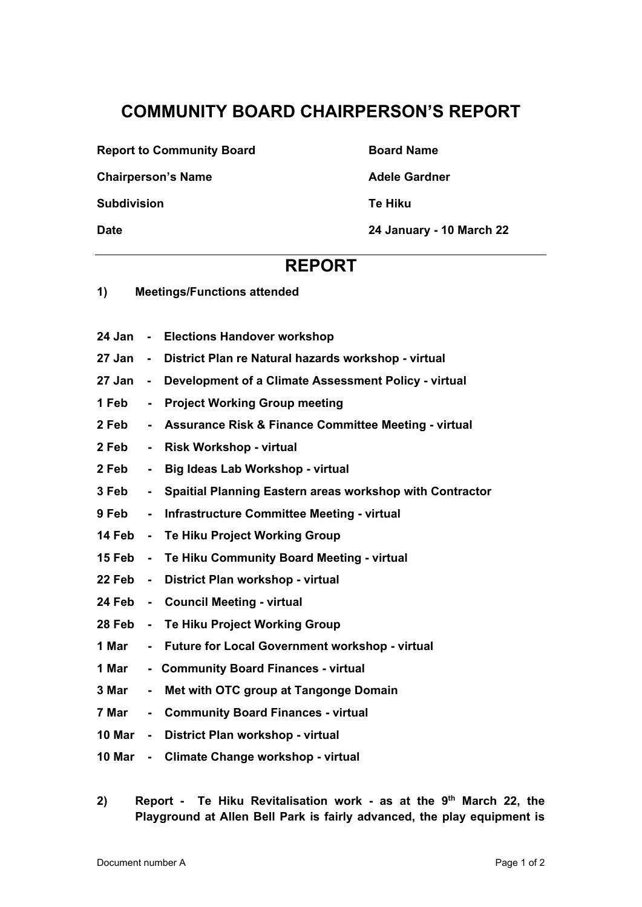## **COMMUNITY BOARD CHAIRPERSON'S REPORT**

**Report to Community Board Community Board Name** 

**Chairperson's Name Chairperson's Name Adele Gardner** 

**Subdivision Te Hiku**

**Date 24 January - 10 March 22** 

## **REPORT**

- **1) Meetings/Functions attended**
- **24 Jan Elections Handover workshop**
- **27 Jan District Plan re Natural hazards workshop virtual**
- **27 Jan Development of a Climate Assessment Policy virtual**
- **1 Feb Project Working Group meeting**
- **2 Feb Assurance Risk & Finance Committee Meeting virtual**
- **2 Feb Risk Workshop virtual**
- **2 Feb Big Ideas Lab Workshop virtual**
- **3 Feb Spaitial Planning Eastern areas workshop with Contractor**
- **9 Feb Infrastructure Committee Meeting virtual**
- **14 Feb Te Hiku Project Working Group**
- **15 Feb Te Hiku Community Board Meeting virtual**
- **22 Feb District Plan workshop virtual**
- **24 Feb Council Meeting virtual**
- **28 Feb Te Hiku Project Working Group**
- **1 Mar Future for Local Government workshop virtual**
- **1 Mar Community Board Finances virtual**
- **3 Mar Met with OTC group at Tangonge Domain**
- **7 Mar Community Board Finances virtual**
- **10 Mar District Plan workshop virtual**
- **10 Mar Climate Change workshop virtual**
- 2) Report Te Hiku Revitalisation work as at the 9<sup>th</sup> March 22, the **Playground at Allen Bell Park is fairly advanced, the play equipment is**